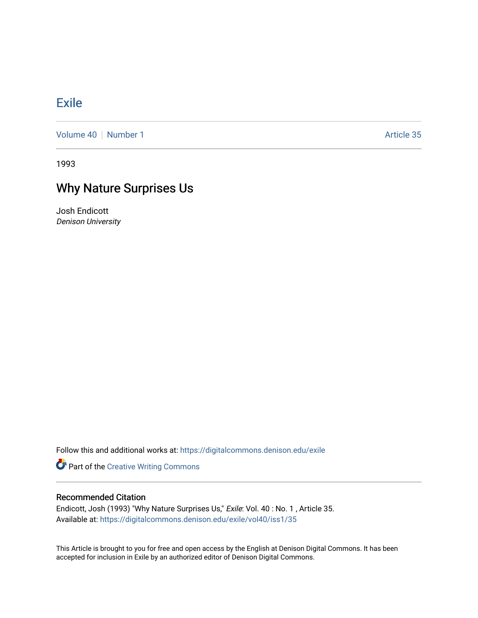# [Exile](https://digitalcommons.denison.edu/exile)

[Volume 40](https://digitalcommons.denison.edu/exile/vol40) [Number 1](https://digitalcommons.denison.edu/exile/vol40/iss1) Article 35

1993

# Why Nature Surprises Us

Josh Endicott Denison University

Follow this and additional works at: [https://digitalcommons.denison.edu/exile](https://digitalcommons.denison.edu/exile?utm_source=digitalcommons.denison.edu%2Fexile%2Fvol40%2Fiss1%2F35&utm_medium=PDF&utm_campaign=PDFCoverPages) 

**Part of the Creative Writing Commons** 

### Recommended Citation

Endicott, Josh (1993) "Why Nature Surprises Us," Exile: Vol. 40 : No. 1 , Article 35. Available at: [https://digitalcommons.denison.edu/exile/vol40/iss1/35](https://digitalcommons.denison.edu/exile/vol40/iss1/35?utm_source=digitalcommons.denison.edu%2Fexile%2Fvol40%2Fiss1%2F35&utm_medium=PDF&utm_campaign=PDFCoverPages)

This Article is brought to you for free and open access by the English at Denison Digital Commons. It has been accepted for inclusion in Exile by an authorized editor of Denison Digital Commons.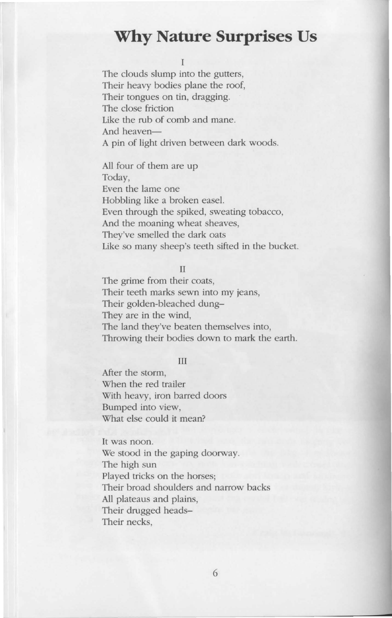## **Why Nature Surprises Us**

The clouds slump into the gutters, Their heavy bodies plane the roof, Their tongues on tin, dragging. The close friction Like the rub of comb and mane. And heaven-A pin of light driven between dark woods.

All four of them are up Today, Even the lame one Hobbling like a broken easel. Even through the spiked, sweating tobacco, And the moaning wheat sheaves, They've smelled the dark oats Like so many sheep's teeth sifted in the bucket.

#### II

The grime from their coats, Their teeth marks sewn into my jeans, Their golden-bleached dung-They are in the wind, The land they've beaten themselves into, Throwing their bodies down to mark the earth.

#### III

After the storm, When the red trailer With heavy, iron barred doors Bumped into view, What else could it mean?

#### It was noon.

We stood in the gaping doorway. The high sun Played tricks on the horses; Their broad shoulders and narrow backs All plateaus and plains, Their drugged heads-Their necks,